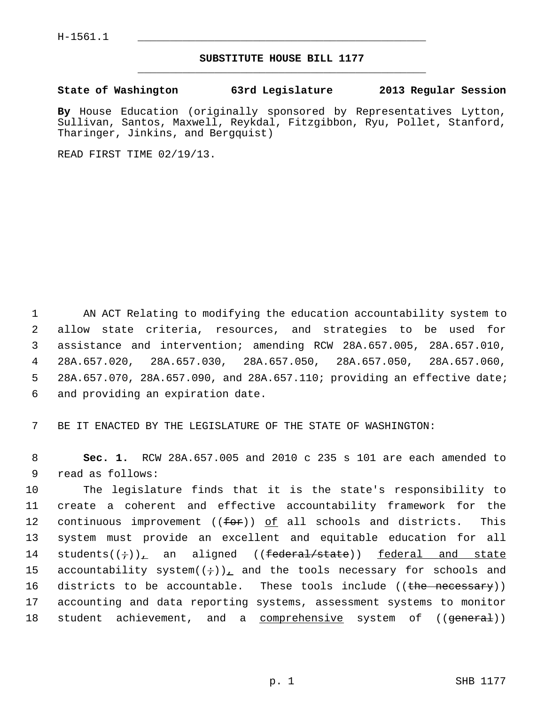## **SUBSTITUTE HOUSE BILL 1177** \_\_\_\_\_\_\_\_\_\_\_\_\_\_\_\_\_\_\_\_\_\_\_\_\_\_\_\_\_\_\_\_\_\_\_\_\_\_\_\_\_\_\_\_\_

## **State of Washington 63rd Legislature 2013 Regular Session**

**By** House Education (originally sponsored by Representatives Lytton, Sullivan, Santos, Maxwell, Reykdal, Fitzgibbon, Ryu, Pollet, Stanford, Tharinger, Jinkins, and Bergquist)

READ FIRST TIME 02/19/13.

 1 AN ACT Relating to modifying the education accountability system to 2 allow state criteria, resources, and strategies to be used for 3 assistance and intervention; amending RCW 28A.657.005, 28A.657.010, 4 28A.657.020, 28A.657.030, 28A.657.050, 28A.657.050, 28A.657.060, 5 28A.657.070, 28A.657.090, and 28A.657.110; providing an effective date; 6 and providing an expiration date.

7 BE IT ENACTED BY THE LEGISLATURE OF THE STATE OF WASHINGTON:

 8 **Sec. 1.** RCW 28A.657.005 and 2010 c 235 s 101 are each amended to 9 read as follows:

10 The legislature finds that it is the state's responsibility to 11 create a coherent and effective accountability framework for the 12 continuous improvement ( $(for)$ ) of all schools and districts. This 13 system must provide an excellent and equitable education for all 14 students $((\div))$ , an aligned  $((\pm \text{ederal}/\text{state}))$  federal and state 15 accountability system $((\div))_L$  and the tools necessary for schools and 16 districts to be accountable. These tools include ((the necessary)) 17 accounting and data reporting systems, assessment systems to monitor 18 student achievement, and a comprehensive system of ((general))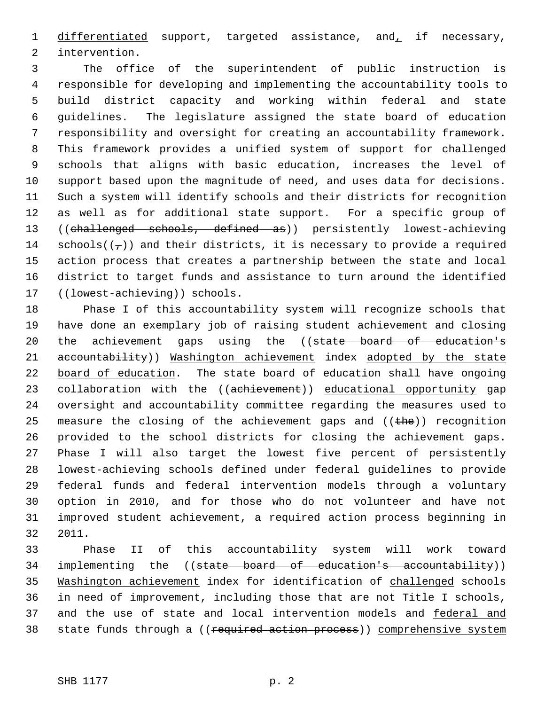1 differentiated support, targeted assistance, and, if necessary, 2 intervention.

 3 The office of the superintendent of public instruction is 4 responsible for developing and implementing the accountability tools to 5 build district capacity and working within federal and state 6 guidelines. The legislature assigned the state board of education 7 responsibility and oversight for creating an accountability framework. 8 This framework provides a unified system of support for challenged 9 schools that aligns with basic education, increases the level of 10 support based upon the magnitude of need, and uses data for decisions. 11 Such a system will identify schools and their districts for recognition 12 as well as for additional state support. For a specific group of 13 ((challenged schools, defined as)) persistently lowest-achieving 14 schools( $(\tau)$ ) and their districts, it is necessary to provide a required 15 action process that creates a partnership between the state and local 16 district to target funds and assistance to turn around the identified 17 ((lowest-achieving)) schools.

18 Phase I of this accountability system will recognize schools that 19 have done an exemplary job of raising student achievement and closing 20 the achievement gaps using the ((state board of education's 21 accountability)) Washington achievement index adopted by the state 22 board of education. The state board of education shall have ongoing 23 collaboration with the ((achievement)) educational opportunity gap 24 oversight and accountability committee regarding the measures used to 25 measure the closing of the achievement gaps and  $($  ( $t$ he)) recognition 26 provided to the school districts for closing the achievement gaps. 27 Phase I will also target the lowest five percent of persistently 28 lowest-achieving schools defined under federal guidelines to provide 29 federal funds and federal intervention models through a voluntary 30 option in 2010, and for those who do not volunteer and have not 31 improved student achievement, a required action process beginning in 32 2011.

33 Phase II of this accountability system will work toward 34 implementing the ((state board of education's accountability)) 35 Washington achievement index for identification of challenged schools 36 in need of improvement, including those that are not Title I schools, 37 and the use of state and local intervention models and federal and 38 state funds through a ((required action process)) comprehensive system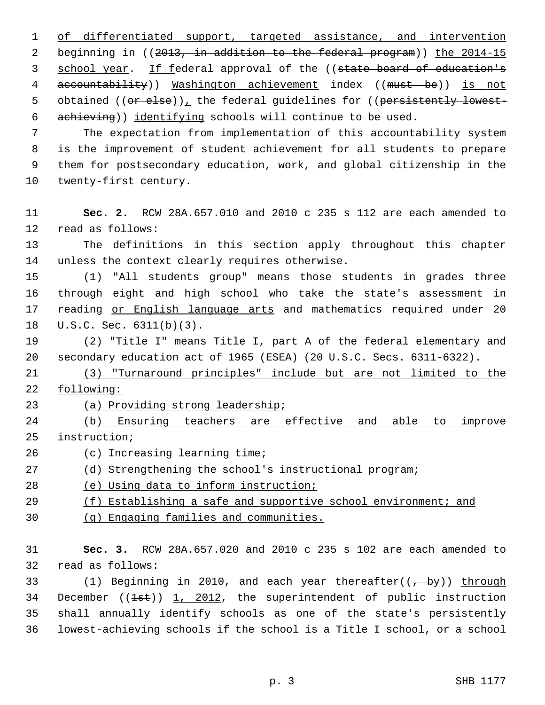1 of differentiated support, targeted assistance, and intervention 2 beginning in ((2013, in addition to the federal program)) the 2014-15 3 school year. If federal approval of the ((state board of education's 4 accountability)) Washington achievement index ((must be)) is not 5 obtained ((or else)), the federal guidelines for ((persistently lowest-6 achieving)) identifying schools will continue to be used.

 7 The expectation from implementation of this accountability system 8 is the improvement of student achievement for all students to prepare 9 them for postsecondary education, work, and global citizenship in the 10 twenty-first century.

11 **Sec. 2.** RCW 28A.657.010 and 2010 c 235 s 112 are each amended to 12 read as follows:

13 The definitions in this section apply throughout this chapter 14 unless the context clearly requires otherwise.

15 (1) "All students group" means those students in grades three 16 through eight and high school who take the state's assessment in 17 reading or English language arts and mathematics required under 20 18 U.S.C. Sec. 6311(b)(3).

19 (2) "Title I" means Title I, part A of the federal elementary and 20 secondary education act of 1965 (ESEA) (20 U.S.C. Secs. 6311-6322).

21 (3) "Turnaround principles" include but are not limited to the 22 following:

23 (a) Providing strong leadership;

24 (b) Ensuring teachers are effective and able to improve 25 instruction;

26 (c) Increasing learning time;

27 (d) Strengthening the school's instructional program;

28 (e) Using data to inform instruction;

29 (f) Establishing a safe and supportive school environment; and

30 (g) Engaging families and communities.

31 **Sec. 3.** RCW 28A.657.020 and 2010 c 235 s 102 are each amended to 32 read as follows:

33 (1) Beginning in 2010, and each year thereafter( $(\frac{1}{1 + by})$ ) through 34 December  $((1st))$  1, 2012, the superintendent of public instruction 35 shall annually identify schools as one of the state's persistently 36 lowest-achieving schools if the school is a Title I school, or a school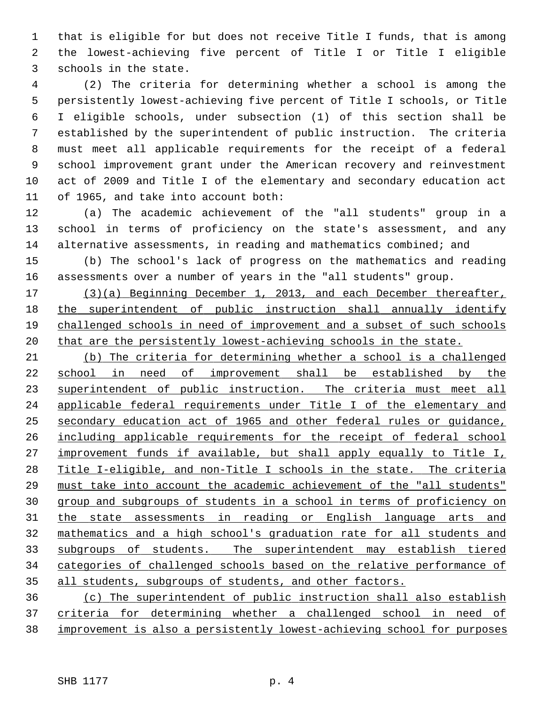1 that is eligible for but does not receive Title I funds, that is among 2 the lowest-achieving five percent of Title I or Title I eligible 3 schools in the state.

 4 (2) The criteria for determining whether a school is among the 5 persistently lowest-achieving five percent of Title I schools, or Title 6 I eligible schools, under subsection (1) of this section shall be 7 established by the superintendent of public instruction. The criteria 8 must meet all applicable requirements for the receipt of a federal 9 school improvement grant under the American recovery and reinvestment 10 act of 2009 and Title I of the elementary and secondary education act 11 of 1965, and take into account both:

12 (a) The academic achievement of the "all students" group in a 13 school in terms of proficiency on the state's assessment, and any 14 alternative assessments, in reading and mathematics combined; and

15 (b) The school's lack of progress on the mathematics and reading 16 assessments over a number of years in the "all students" group.

 (3)(a) Beginning December 1, 2013, and each December thereafter, the superintendent of public instruction shall annually identify 19 challenged schools in need of improvement and a subset of such schools that are the persistently lowest-achieving schools in the state.

 (b) The criteria for determining whether a school is a challenged school in need of improvement shall be established by the 23 superintendent of public instruction. The criteria must meet all applicable federal requirements under Title I of the elementary and secondary education act of 1965 and other federal rules or guidance, including applicable requirements for the receipt of federal school improvement funds if available, but shall apply equally to Title I, Title I-eligible, and non-Title I schools in the state. The criteria must take into account the academic achievement of the "all students" group and subgroups of students in a school in terms of proficiency on the state assessments in reading or English language arts and mathematics and a high school's graduation rate for all students and subgroups of students. The superintendent may establish tiered categories of challenged schools based on the relative performance of all students, subgroups of students, and other factors.

36 (c) The superintendent of public instruction shall also establish 37 criteria for determining whether a challenged school in need of 38 improvement is also a persistently lowest-achieving school for purposes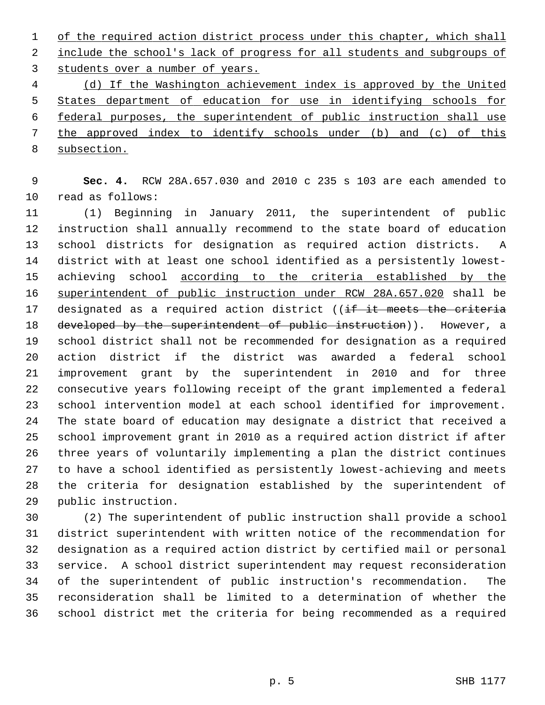1 of the required action district process under this chapter, which shall 2 include the school's lack of progress for all students and subgroups of 3 students over a number of years.

 (d) If the Washington achievement index is approved by the United States department of education for use in identifying schools for federal purposes, the superintendent of public instruction shall use the approved index to identify schools under (b) and (c) of this subsection.

 9 **Sec. 4.** RCW 28A.657.030 and 2010 c 235 s 103 are each amended to 10 read as follows:

11 (1) Beginning in January 2011, the superintendent of public 12 instruction shall annually recommend to the state board of education 13 school districts for designation as required action districts. A 14 district with at least one school identified as a persistently lowest-15 achieving school according to the criteria established by the 16 superintendent of public instruction under RCW 28A.657.020 shall be 17 designated as a required action district ((if it meets the criteria 18 developed by the superintendent of public instruction)). However, a 19 school district shall not be recommended for designation as a required 20 action district if the district was awarded a federal school 21 improvement grant by the superintendent in 2010 and for three 22 consecutive years following receipt of the grant implemented a federal 23 school intervention model at each school identified for improvement. 24 The state board of education may designate a district that received a 25 school improvement grant in 2010 as a required action district if after 26 three years of voluntarily implementing a plan the district continues 27 to have a school identified as persistently lowest-achieving and meets 28 the criteria for designation established by the superintendent of 29 public instruction.

30 (2) The superintendent of public instruction shall provide a school 31 district superintendent with written notice of the recommendation for 32 designation as a required action district by certified mail or personal 33 service. A school district superintendent may request reconsideration 34 of the superintendent of public instruction's recommendation. The 35 reconsideration shall be limited to a determination of whether the 36 school district met the criteria for being recommended as a required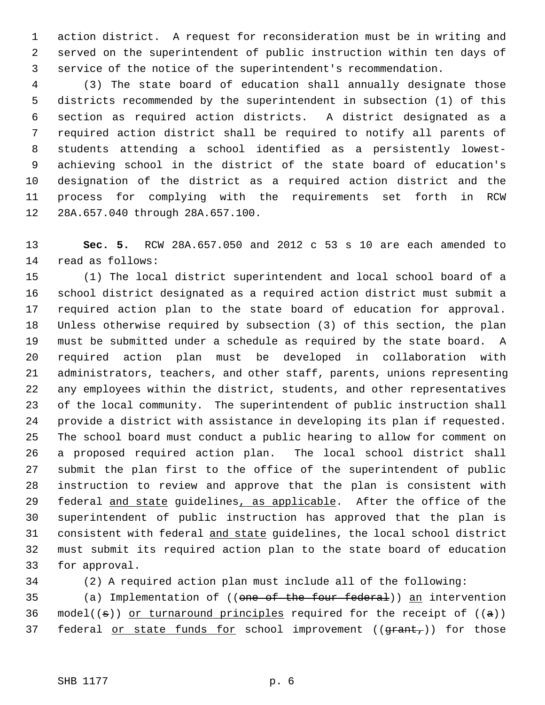1 action district. A request for reconsideration must be in writing and 2 served on the superintendent of public instruction within ten days of 3 service of the notice of the superintendent's recommendation.

 4 (3) The state board of education shall annually designate those 5 districts recommended by the superintendent in subsection (1) of this 6 section as required action districts. A district designated as a 7 required action district shall be required to notify all parents of 8 students attending a school identified as a persistently lowest- 9 achieving school in the district of the state board of education's 10 designation of the district as a required action district and the 11 process for complying with the requirements set forth in RCW 12 28A.657.040 through 28A.657.100.

13 **Sec. 5.** RCW 28A.657.050 and 2012 c 53 s 10 are each amended to 14 read as follows:

15 (1) The local district superintendent and local school board of a 16 school district designated as a required action district must submit a 17 required action plan to the state board of education for approval. 18 Unless otherwise required by subsection (3) of this section, the plan 19 must be submitted under a schedule as required by the state board. A 20 required action plan must be developed in collaboration with 21 administrators, teachers, and other staff, parents, unions representing 22 any employees within the district, students, and other representatives 23 of the local community. The superintendent of public instruction shall 24 provide a district with assistance in developing its plan if requested. 25 The school board must conduct a public hearing to allow for comment on 26 a proposed required action plan. The local school district shall 27 submit the plan first to the office of the superintendent of public 28 instruction to review and approve that the plan is consistent with 29 federal and state guidelines, as applicable. After the office of the 30 superintendent of public instruction has approved that the plan is 31 consistent with federal and state guidelines, the local school district 32 must submit its required action plan to the state board of education 33 for approval.

34 (2) A required action plan must include all of the following:

35 (a) Implementation of ((one of the four federal)) an intervention 36 model(( $\pm$ )) or turnaround principles required for the receipt of ( $\pm$ )) 37 federal or state funds for school improvement  $((\text{grant}_t))$  for those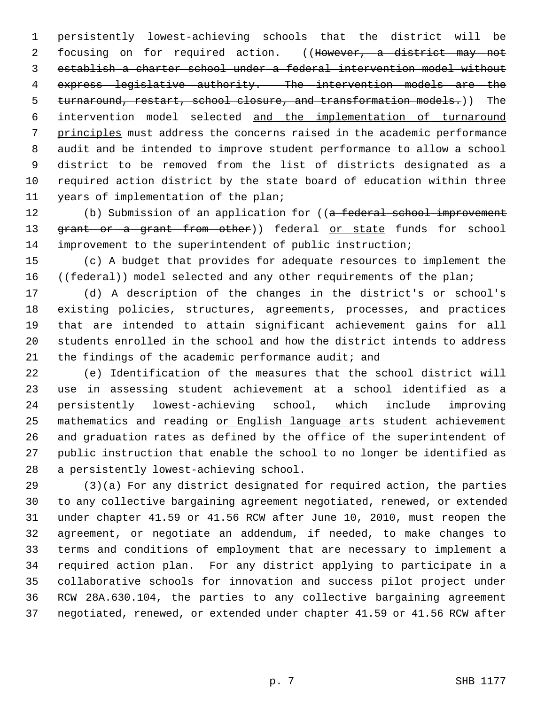1 persistently lowest-achieving schools that the district will be 2 focusing on for required action. ((However, a district may not 3 establish a charter school under a federal intervention model without 4 express legislative authority. The intervention models are the 5 turnaround, restart, school closure, and transformation models.)) The 6 intervention model selected and the implementation of turnaround 7 principles must address the concerns raised in the academic performance 8 audit and be intended to improve student performance to allow a school 9 district to be removed from the list of districts designated as a 10 required action district by the state board of education within three 11 years of implementation of the plan;

12 (b) Submission of an application for ((a federal school improvement 13 grant or a grant from other)) federal or state funds for school 14 improvement to the superintendent of public instruction;

15 (c) A budget that provides for adequate resources to implement the 16 ((federal)) model selected and any other requirements of the plan;

17 (d) A description of the changes in the district's or school's 18 existing policies, structures, agreements, processes, and practices 19 that are intended to attain significant achievement gains for all 20 students enrolled in the school and how the district intends to address 21 the findings of the academic performance audit; and

22 (e) Identification of the measures that the school district will 23 use in assessing student achievement at a school identified as a 24 persistently lowest-achieving school, which include improving 25 mathematics and reading or English language arts student achievement 26 and graduation rates as defined by the office of the superintendent of 27 public instruction that enable the school to no longer be identified as 28 a persistently lowest-achieving school.

29 (3)(a) For any district designated for required action, the parties 30 to any collective bargaining agreement negotiated, renewed, or extended 31 under chapter 41.59 or 41.56 RCW after June 10, 2010, must reopen the 32 agreement, or negotiate an addendum, if needed, to make changes to 33 terms and conditions of employment that are necessary to implement a 34 required action plan. For any district applying to participate in a 35 collaborative schools for innovation and success pilot project under 36 RCW 28A.630.104, the parties to any collective bargaining agreement 37 negotiated, renewed, or extended under chapter 41.59 or 41.56 RCW after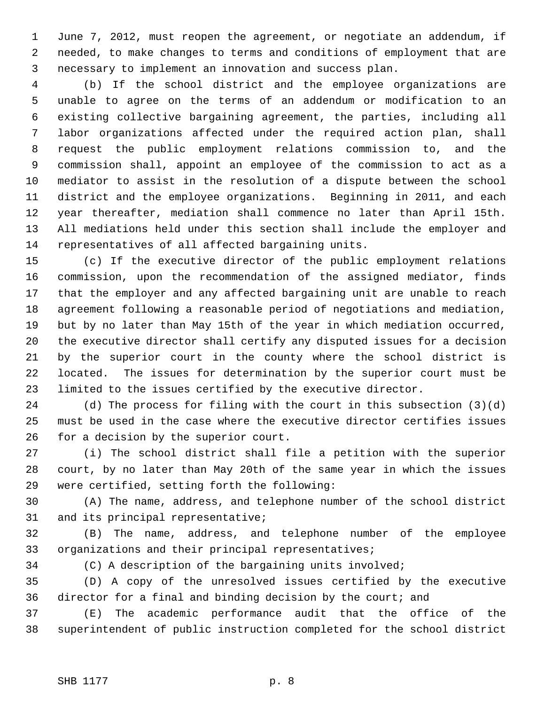1 June 7, 2012, must reopen the agreement, or negotiate an addendum, if 2 needed, to make changes to terms and conditions of employment that are 3 necessary to implement an innovation and success plan.

 4 (b) If the school district and the employee organizations are 5 unable to agree on the terms of an addendum or modification to an 6 existing collective bargaining agreement, the parties, including all 7 labor organizations affected under the required action plan, shall 8 request the public employment relations commission to, and the 9 commission shall, appoint an employee of the commission to act as a 10 mediator to assist in the resolution of a dispute between the school 11 district and the employee organizations. Beginning in 2011, and each 12 year thereafter, mediation shall commence no later than April 15th. 13 All mediations held under this section shall include the employer and 14 representatives of all affected bargaining units.

15 (c) If the executive director of the public employment relations 16 commission, upon the recommendation of the assigned mediator, finds 17 that the employer and any affected bargaining unit are unable to reach 18 agreement following a reasonable period of negotiations and mediation, 19 but by no later than May 15th of the year in which mediation occurred, 20 the executive director shall certify any disputed issues for a decision 21 by the superior court in the county where the school district is 22 located. The issues for determination by the superior court must be 23 limited to the issues certified by the executive director.

24 (d) The process for filing with the court in this subsection (3)(d) 25 must be used in the case where the executive director certifies issues 26 for a decision by the superior court.

27 (i) The school district shall file a petition with the superior 28 court, by no later than May 20th of the same year in which the issues 29 were certified, setting forth the following:

30 (A) The name, address, and telephone number of the school district 31 and its principal representative;

32 (B) The name, address, and telephone number of the employee 33 organizations and their principal representatives;

34 (C) A description of the bargaining units involved;

35 (D) A copy of the unresolved issues certified by the executive 36 director for a final and binding decision by the court; and

37 (E) The academic performance audit that the office of the 38 superintendent of public instruction completed for the school district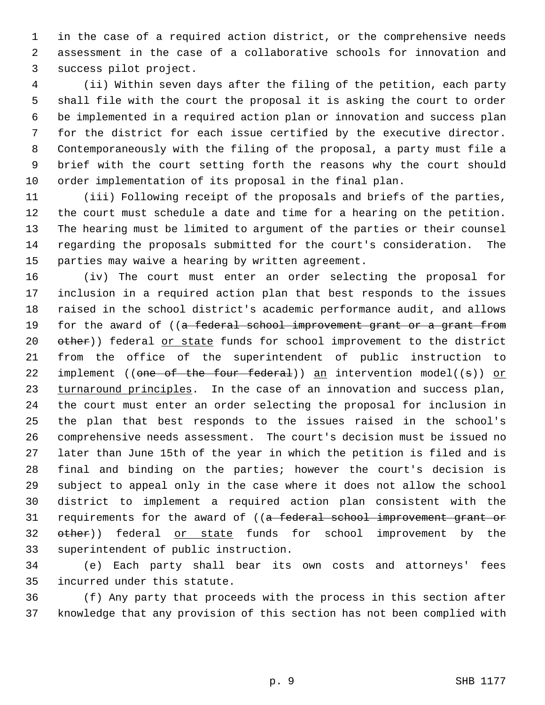1 in the case of a required action district, or the comprehensive needs 2 assessment in the case of a collaborative schools for innovation and 3 success pilot project.

 4 (ii) Within seven days after the filing of the petition, each party 5 shall file with the court the proposal it is asking the court to order 6 be implemented in a required action plan or innovation and success plan 7 for the district for each issue certified by the executive director. 8 Contemporaneously with the filing of the proposal, a party must file a 9 brief with the court setting forth the reasons why the court should 10 order implementation of its proposal in the final plan.

11 (iii) Following receipt of the proposals and briefs of the parties, 12 the court must schedule a date and time for a hearing on the petition. 13 The hearing must be limited to argument of the parties or their counsel 14 regarding the proposals submitted for the court's consideration. The 15 parties may waive a hearing by written agreement.

16 (iv) The court must enter an order selecting the proposal for 17 inclusion in a required action plan that best responds to the issues 18 raised in the school district's academic performance audit, and allows 19 for the award of ((a federal school improvement grant or a grant from 20 other)) federal or state funds for school improvement to the district 21 from the office of the superintendent of public instruction to 22 implement (( $\theta$ ne of the four federal)) an intervention model(( $\theta$ )) or 23 turnaround principles. In the case of an innovation and success plan, 24 the court must enter an order selecting the proposal for inclusion in 25 the plan that best responds to the issues raised in the school's 26 comprehensive needs assessment. The court's decision must be issued no 27 later than June 15th of the year in which the petition is filed and is 28 final and binding on the parties; however the court's decision is 29 subject to appeal only in the case where it does not allow the school 30 district to implement a required action plan consistent with the 31 requirements for the award of ((a federal school improvement grant or 32 other)) federal or state funds for school improvement by the 33 superintendent of public instruction.

34 (e) Each party shall bear its own costs and attorneys' fees 35 incurred under this statute.

36 (f) Any party that proceeds with the process in this section after 37 knowledge that any provision of this section has not been complied with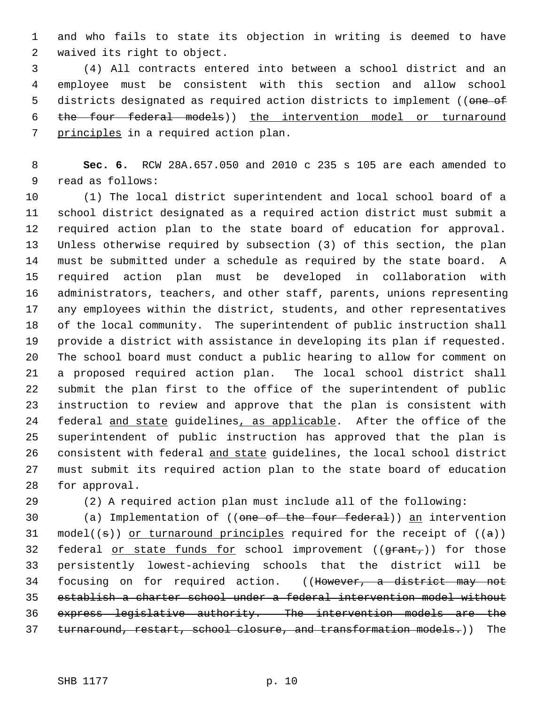1 and who fails to state its objection in writing is deemed to have 2 waived its right to object.

 3 (4) All contracts entered into between a school district and an 4 employee must be consistent with this section and allow school 5 districts designated as required action districts to implement ((one of 6 the four federal models)) the intervention model or turnaround 7 principles in a required action plan.

 8 **Sec. 6.** RCW 28A.657.050 and 2010 c 235 s 105 are each amended to 9 read as follows:

10 (1) The local district superintendent and local school board of a 11 school district designated as a required action district must submit a 12 required action plan to the state board of education for approval. 13 Unless otherwise required by subsection (3) of this section, the plan 14 must be submitted under a schedule as required by the state board. A 15 required action plan must be developed in collaboration with 16 administrators, teachers, and other staff, parents, unions representing 17 any employees within the district, students, and other representatives 18 of the local community. The superintendent of public instruction shall 19 provide a district with assistance in developing its plan if requested. 20 The school board must conduct a public hearing to allow for comment on 21 a proposed required action plan. The local school district shall 22 submit the plan first to the office of the superintendent of public 23 instruction to review and approve that the plan is consistent with 24 federal and state guidelines, as applicable. After the office of the 25 superintendent of public instruction has approved that the plan is 26 consistent with federal and state guidelines, the local school district 27 must submit its required action plan to the state board of education 28 for approval.

29 (2) A required action plan must include all of the following:

30 (a) Implementation of ((one of the four federal)) an intervention 31 model(( $\pm$ )) or turnaround principles required for the receipt of ( $\pm$ )) 32 federal or state funds for school improvement  $((\text{grant}_t))$  for those 33 persistently lowest-achieving schools that the district will be 34 focusing on for required action. ((However, a district may not 35 establish a charter school under a federal intervention model without 36 express legislative authority. The intervention models are the 37 turnaround, restart, school closure, and transformation models.)) The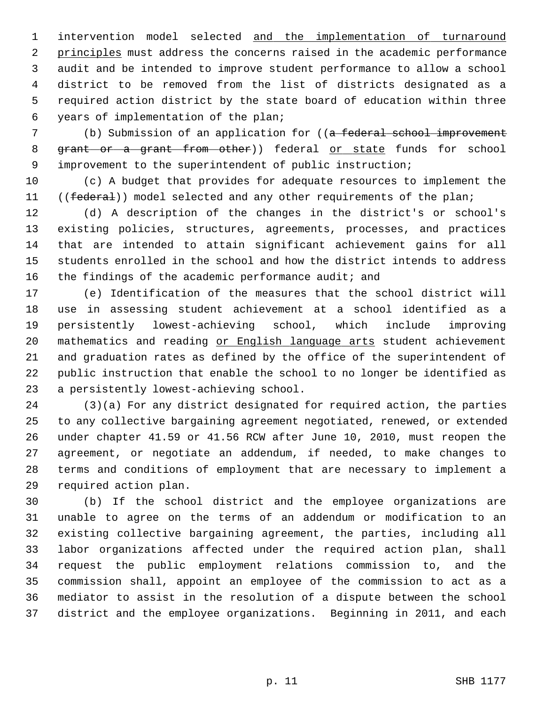1 intervention model selected and the implementation of turnaround 2 principles must address the concerns raised in the academic performance 3 audit and be intended to improve student performance to allow a school 4 district to be removed from the list of districts designated as a 5 required action district by the state board of education within three 6 years of implementation of the plan;

7 (b) Submission of an application for ((a federal school improvement 8 grant or a grant from other)) federal or state funds for school 9 improvement to the superintendent of public instruction;

10 (c) A budget that provides for adequate resources to implement the 11 ((federal)) model selected and any other requirements of the plan;

12 (d) A description of the changes in the district's or school's 13 existing policies, structures, agreements, processes, and practices 14 that are intended to attain significant achievement gains for all 15 students enrolled in the school and how the district intends to address 16 the findings of the academic performance audit; and

17 (e) Identification of the measures that the school district will 18 use in assessing student achievement at a school identified as a 19 persistently lowest-achieving school, which include improving 20 mathematics and reading or English language arts student achievement 21 and graduation rates as defined by the office of the superintendent of 22 public instruction that enable the school to no longer be identified as 23 a persistently lowest-achieving school.

24 (3)(a) For any district designated for required action, the parties 25 to any collective bargaining agreement negotiated, renewed, or extended 26 under chapter 41.59 or 41.56 RCW after June 10, 2010, must reopen the 27 agreement, or negotiate an addendum, if needed, to make changes to 28 terms and conditions of employment that are necessary to implement a 29 required action plan.

30 (b) If the school district and the employee organizations are 31 unable to agree on the terms of an addendum or modification to an 32 existing collective bargaining agreement, the parties, including all 33 labor organizations affected under the required action plan, shall 34 request the public employment relations commission to, and the 35 commission shall, appoint an employee of the commission to act as a 36 mediator to assist in the resolution of a dispute between the school 37 district and the employee organizations. Beginning in 2011, and each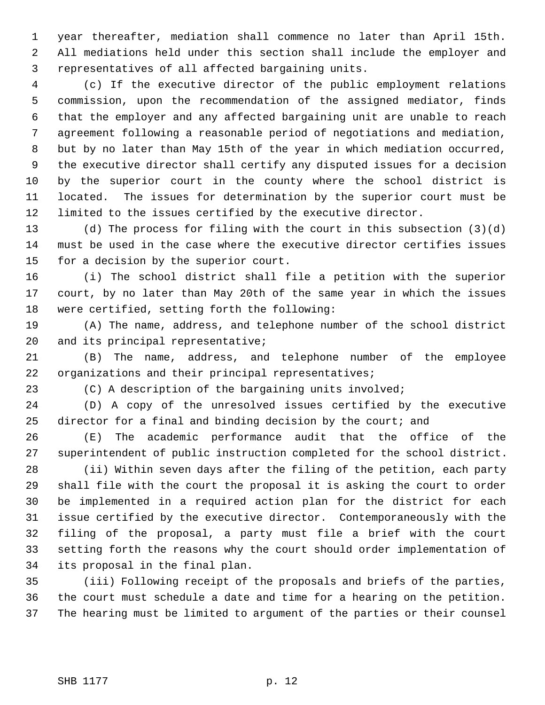1 year thereafter, mediation shall commence no later than April 15th. 2 All mediations held under this section shall include the employer and 3 representatives of all affected bargaining units.

 4 (c) If the executive director of the public employment relations 5 commission, upon the recommendation of the assigned mediator, finds 6 that the employer and any affected bargaining unit are unable to reach 7 agreement following a reasonable period of negotiations and mediation, 8 but by no later than May 15th of the year in which mediation occurred, 9 the executive director shall certify any disputed issues for a decision 10 by the superior court in the county where the school district is 11 located. The issues for determination by the superior court must be 12 limited to the issues certified by the executive director.

13 (d) The process for filing with the court in this subsection (3)(d) 14 must be used in the case where the executive director certifies issues 15 for a decision by the superior court.

16 (i) The school district shall file a petition with the superior 17 court, by no later than May 20th of the same year in which the issues 18 were certified, setting forth the following:

19 (A) The name, address, and telephone number of the school district 20 and its principal representative;

21 (B) The name, address, and telephone number of the employee 22 organizations and their principal representatives;

23 (C) A description of the bargaining units involved;

24 (D) A copy of the unresolved issues certified by the executive 25 director for a final and binding decision by the court; and

26 (E) The academic performance audit that the office of the 27 superintendent of public instruction completed for the school district.

28 (ii) Within seven days after the filing of the petition, each party 29 shall file with the court the proposal it is asking the court to order 30 be implemented in a required action plan for the district for each 31 issue certified by the executive director. Contemporaneously with the 32 filing of the proposal, a party must file a brief with the court 33 setting forth the reasons why the court should order implementation of 34 its proposal in the final plan.

35 (iii) Following receipt of the proposals and briefs of the parties, 36 the court must schedule a date and time for a hearing on the petition. 37 The hearing must be limited to argument of the parties or their counsel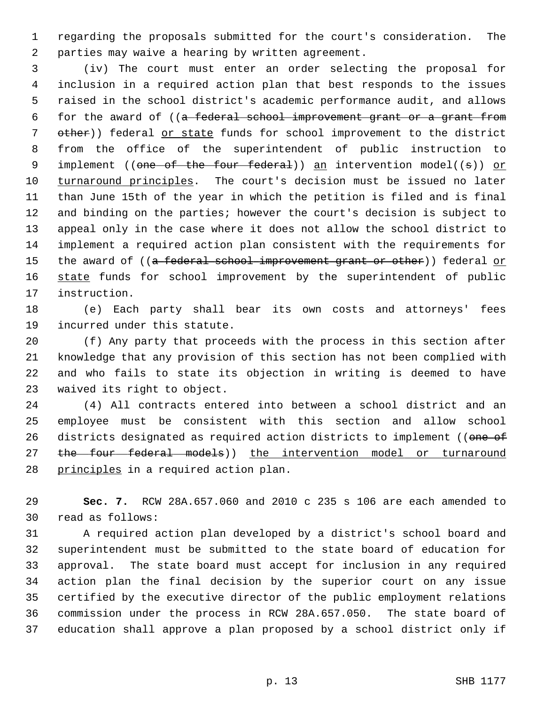1 regarding the proposals submitted for the court's consideration. The 2 parties may waive a hearing by written agreement.

 3 (iv) The court must enter an order selecting the proposal for 4 inclusion in a required action plan that best responds to the issues 5 raised in the school district's academic performance audit, and allows 6 for the award of ((a federal school improvement grant or a grant from 7 other)) federal or state funds for school improvement to the district 8 from the office of the superintendent of public instruction to 9 implement ((one of the four federal)) an intervention model((s)) or 10 turnaround principles. The court's decision must be issued no later 11 than June 15th of the year in which the petition is filed and is final 12 and binding on the parties; however the court's decision is subject to 13 appeal only in the case where it does not allow the school district to 14 implement a required action plan consistent with the requirements for 15 the award of ((a federal school improvement grant or other)) federal or 16 state funds for school improvement by the superintendent of public 17 instruction.

18 (e) Each party shall bear its own costs and attorneys' fees 19 incurred under this statute.

20 (f) Any party that proceeds with the process in this section after 21 knowledge that any provision of this section has not been complied with 22 and who fails to state its objection in writing is deemed to have 23 waived its right to object.

24 (4) All contracts entered into between a school district and an 25 employee must be consistent with this section and allow school 26 districts designated as required action districts to implement ((one of 27 the four federal models)) the intervention model or turnaround 28 principles in a required action plan.

29 **Sec. 7.** RCW 28A.657.060 and 2010 c 235 s 106 are each amended to 30 read as follows:

31 A required action plan developed by a district's school board and 32 superintendent must be submitted to the state board of education for 33 approval. The state board must accept for inclusion in any required 34 action plan the final decision by the superior court on any issue 35 certified by the executive director of the public employment relations 36 commission under the process in RCW 28A.657.050. The state board of 37 education shall approve a plan proposed by a school district only if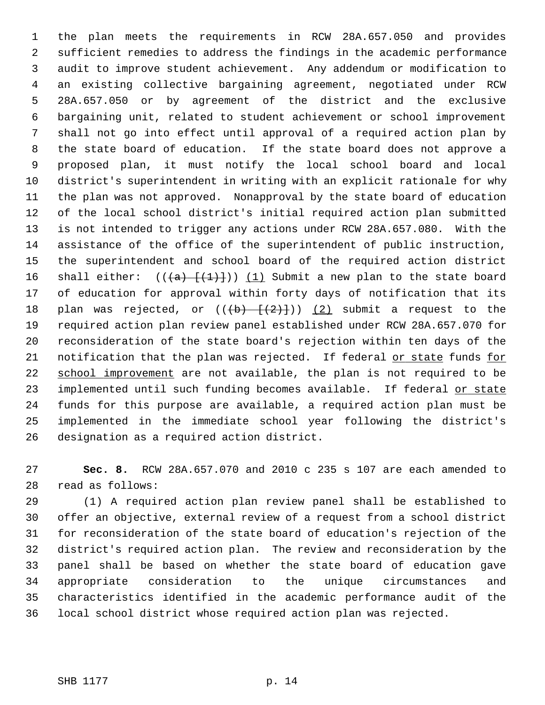1 the plan meets the requirements in RCW 28A.657.050 and provides 2 sufficient remedies to address the findings in the academic performance 3 audit to improve student achievement. Any addendum or modification to 4 an existing collective bargaining agreement, negotiated under RCW 5 28A.657.050 or by agreement of the district and the exclusive 6 bargaining unit, related to student achievement or school improvement 7 shall not go into effect until approval of a required action plan by 8 the state board of education. If the state board does not approve a 9 proposed plan, it must notify the local school board and local 10 district's superintendent in writing with an explicit rationale for why 11 the plan was not approved. Nonapproval by the state board of education 12 of the local school district's initial required action plan submitted 13 is not intended to trigger any actions under RCW 28A.657.080. With the 14 assistance of the office of the superintendent of public instruction, 15 the superintendent and school board of the required action district 16 shall either:  $((+a)$   $+(1)+$ )) (1) Submit a new plan to the state board 17 of education for approval within forty days of notification that its 18 plan was rejected, or  $((+b) - \{(2)\})$  (2) submit a request to the 19 required action plan review panel established under RCW 28A.657.070 for 20 reconsideration of the state board's rejection within ten days of the 21 notification that the plan was rejected. If federal or state funds for 22 school improvement are not available, the plan is not required to be 23 implemented until such funding becomes available. If federal or state 24 funds for this purpose are available, a required action plan must be 25 implemented in the immediate school year following the district's 26 designation as a required action district.

27 **Sec. 8.** RCW 28A.657.070 and 2010 c 235 s 107 are each amended to 28 read as follows:

29 (1) A required action plan review panel shall be established to 30 offer an objective, external review of a request from a school district 31 for reconsideration of the state board of education's rejection of the 32 district's required action plan. The review and reconsideration by the 33 panel shall be based on whether the state board of education gave 34 appropriate consideration to the unique circumstances and 35 characteristics identified in the academic performance audit of the 36 local school district whose required action plan was rejected.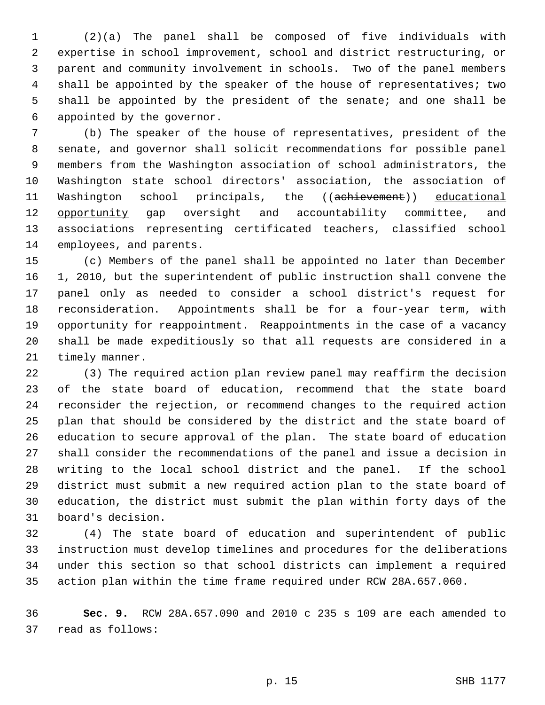1 (2)(a) The panel shall be composed of five individuals with 2 expertise in school improvement, school and district restructuring, or 3 parent and community involvement in schools. Two of the panel members 4 shall be appointed by the speaker of the house of representatives; two 5 shall be appointed by the president of the senate; and one shall be 6 appointed by the governor.

 7 (b) The speaker of the house of representatives, president of the 8 senate, and governor shall solicit recommendations for possible panel 9 members from the Washington association of school administrators, the 10 Washington state school directors' association, the association of 11 Washington school principals, the ((achievement)) educational 12 opportunity gap oversight and accountability committee, and 13 associations representing certificated teachers, classified school 14 employees, and parents.

15 (c) Members of the panel shall be appointed no later than December 16 1, 2010, but the superintendent of public instruction shall convene the 17 panel only as needed to consider a school district's request for 18 reconsideration. Appointments shall be for a four-year term, with 19 opportunity for reappointment. Reappointments in the case of a vacancy 20 shall be made expeditiously so that all requests are considered in a 21 timely manner.

22 (3) The required action plan review panel may reaffirm the decision 23 of the state board of education, recommend that the state board 24 reconsider the rejection, or recommend changes to the required action 25 plan that should be considered by the district and the state board of 26 education to secure approval of the plan. The state board of education 27 shall consider the recommendations of the panel and issue a decision in 28 writing to the local school district and the panel. If the school 29 district must submit a new required action plan to the state board of 30 education, the district must submit the plan within forty days of the 31 board's decision.

32 (4) The state board of education and superintendent of public 33 instruction must develop timelines and procedures for the deliberations 34 under this section so that school districts can implement a required 35 action plan within the time frame required under RCW 28A.657.060.

36 **Sec. 9.** RCW 28A.657.090 and 2010 c 235 s 109 are each amended to 37 read as follows: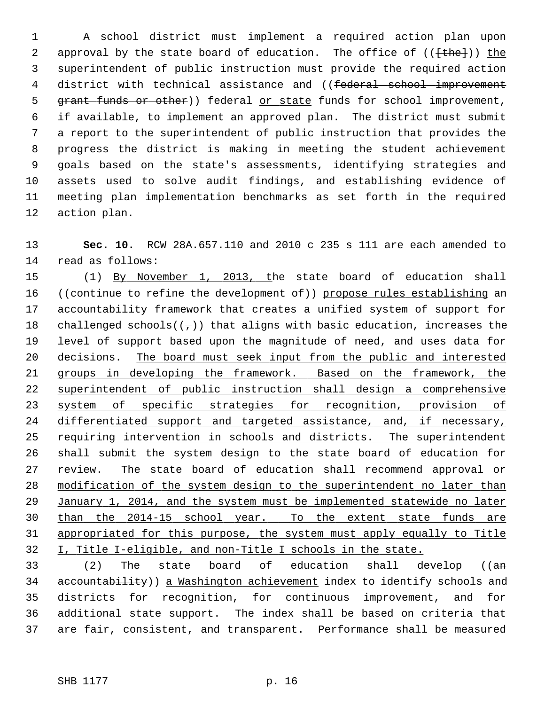1 A school district must implement a required action plan upon 2 approval by the state board of education. The office of  $((\text{the-})^2)$  the 3 superintendent of public instruction must provide the required action 4 district with technical assistance and ((federal school improvement 5 grant funds or other)) federal or state funds for school improvement, 6 if available, to implement an approved plan. The district must submit 7 a report to the superintendent of public instruction that provides the 8 progress the district is making in meeting the student achievement 9 goals based on the state's assessments, identifying strategies and 10 assets used to solve audit findings, and establishing evidence of 11 meeting plan implementation benchmarks as set forth in the required 12 action plan.

13 **Sec. 10.** RCW 28A.657.110 and 2010 c 235 s 111 are each amended to 14 read as follows:

15 (1) By November 1, 2013, the state board of education shall 16 ((continue to refine the development of)) propose rules establishing an 17 accountability framework that creates a unified system of support for 18 challenged schools( $(\tau)$ ) that aligns with basic education, increases the 19 level of support based upon the magnitude of need, and uses data for 20 decisions. The board must seek input from the public and interested groups in developing the framework. Based on the framework, the superintendent of public instruction shall design a comprehensive system of specific strategies for recognition, provision of 24 differentiated support and targeted assistance, and, if necessary, requiring intervention in schools and districts. The superintendent shall submit the system design to the state board of education for review. The state board of education shall recommend approval or modification of the system design to the superintendent no later than January 1, 2014, and the system must be implemented statewide no later than the 2014-15 school year. To the extent state funds are appropriated for this purpose, the system must apply equally to Title I, Title I-eligible, and non-Title I schools in the state.

33 (2) The state board of education shall develop ((an 34 accountability)) a Washington achievement index to identify schools and 35 districts for recognition, for continuous improvement, and for 36 additional state support. The index shall be based on criteria that 37 are fair, consistent, and transparent. Performance shall be measured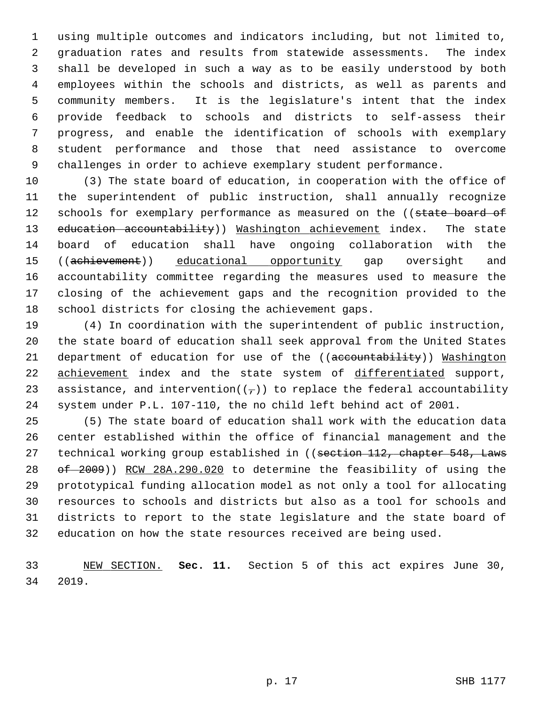1 using multiple outcomes and indicators including, but not limited to, 2 graduation rates and results from statewide assessments. The index 3 shall be developed in such a way as to be easily understood by both 4 employees within the schools and districts, as well as parents and 5 community members. It is the legislature's intent that the index 6 provide feedback to schools and districts to self-assess their 7 progress, and enable the identification of schools with exemplary 8 student performance and those that need assistance to overcome 9 challenges in order to achieve exemplary student performance.

10 (3) The state board of education, in cooperation with the office of 11 the superintendent of public instruction, shall annually recognize 12 schools for exemplary performance as measured on the ((state board of 13 education accountability)) Washington achievement index. The state 14 board of education shall have ongoing collaboration with the 15 ((achievement)) educational opportunity gap oversight and 16 accountability committee regarding the measures used to measure the 17 closing of the achievement gaps and the recognition provided to the 18 school districts for closing the achievement gaps.

19 (4) In coordination with the superintendent of public instruction, 20 the state board of education shall seek approval from the United States 21 department of education for use of the ((accountability)) Washington 22 achievement index and the state system of differentiated support, 23 assistance, and intervention( $(\tau)$ ) to replace the federal accountability 24 system under P.L. 107-110, the no child left behind act of 2001.

25 (5) The state board of education shall work with the education data 26 center established within the office of financial management and the 27 technical working group established in ((section 112, chapter 548, Laws 28 of 2009)) RCW 28A.290.020 to determine the feasibility of using the 29 prototypical funding allocation model as not only a tool for allocating 30 resources to schools and districts but also as a tool for schools and 31 districts to report to the state legislature and the state board of 32 education on how the state resources received are being used.

33 NEW SECTION. **Sec. 11.** Section 5 of this act expires June 30, 34 2019.